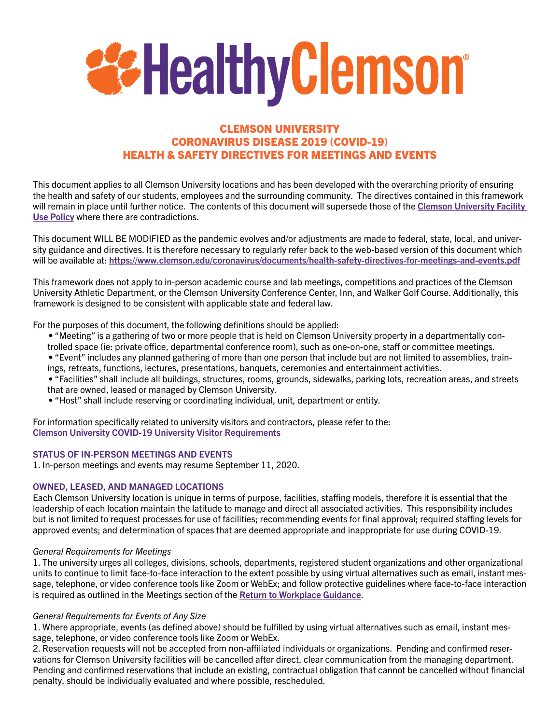

# CLEMSON UNIVERSITY CORONAVIRUS DISEASE 2019 (COVID-19) HEALTH & SAFETY DIRECTIVES FOR MEETINGS AND EVENTS

This document applies to all Clemson University locations and has been developed with the overarching priority of ensuring the health and safety of our students, employees and the surrounding community. The directives contained in this framework will remain in place until further notice. The contents of this document will supersede those of the Clemson University Facility [Use Policy](https://www.clemson.edu/campus-life/campus-life-department/venues/facilityuse.html) where there are contradictions.

This document WILL BE MODIFIED as the pandemic evolves and/or adjustments are made to federal, state, local, and university guidance and directives. It is therefore necessary to regularly refer back to the web-based version of this document which will be available at: <https://www.clemson.edu/coronavirus/documents/health-safety-directives-for-meetings-and-events.pdf>

This framework does not apply to in-person academic course and lab meetings, competitions and practices of the Clemson University Athletic Department, or the Clemson University Conference Center, Inn, and Walker Golf Course. Additionally, this framework is designed to be consistent with applicable state and federal law.

For the purposes of this document, the following definitions should be applied:

- "Meeting" is a gathering of two or more people that is held on Clemson University property in a departmentally controlled space (ie: private office, departmental conference room), such as one-on-one, staff or committee meetings.
- "Event" includes any planned gathering of more than one person that include but are not limited to assemblies, trainings, retreats, functions, lectures, presentations, banquets, ceremonies and entertainment activities.
- "Facilities" shall include all buildings, structures, rooms, grounds, sidewalks, parking lots, recreation areas, and streets that are owned, leased or managed by Clemson University.
- "Host" shall include reserving or coordinating individual, unit, department or entity.

For information specifically related to university visitors and contractors, please refer to the: [Clemson University COVID-19 University Visitor Requirements](https://www.clemson.edu/coronavirus/documents/health-safety-directives-for-university-visitors.pdf)

#### STATUS OF IN-PERSON MEETINGS AND EVENTS

1. In-person meetings and events may resume September 11, 2020.

#### OWNED, LEASED, AND MANAGED LOCATIONS

Each Clemson University location is unique in terms of purpose, facilities, staffing models, therefore it is essential that the leadership of each location maintain the latitude to manage and direct all associated activities. This responsibility includes but is not limited to request processes for use of facilities; recommending events for final approval; required staffing levels for approved events; and determination of spaces that are deemed appropriate and inappropriate for use during COVID-19.

#### *General Requirements for Meetings*

1. The university urges all colleges, divisions, schools, departments, registered student organizations and other organizational units to continue to limit face-to-face interaction to the extent possible by using virtual alternatives such as email, instant message, telephone, or video conference tools like Zoom or WebEx; and follow protective guidelines where face-to-face interaction is required as outlined in the Meetings section of the [Return to Workplace Guidance](https://www.clemson.edu/coronavirus/documents/hr-return-framwork.pdf).

#### *General Requirements for Events of Any Size*

1. Where appropriate, events (as defined above) should be fulfilled by using virtual alternatives such as email, instant message, telephone, or video conference tools like Zoom or WebEx.

2. Reservation requests will not be accepted from non-affiliated individuals or organizations. Pending and confirmed reservations for Clemson University facilities will be cancelled after direct, clear communication from the managing department. Pending and confirmed reservations that include an existing, contractual obligation that cannot be cancelled without financial penalty, should be individually evaluated and where possible, rescheduled.